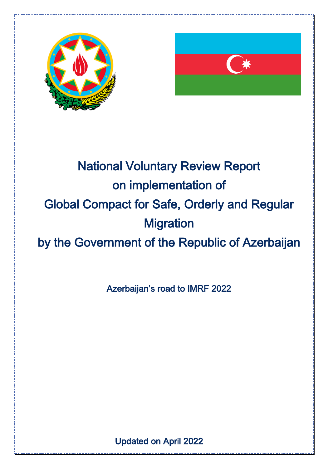



# National Voluntary Review Report on implementation of Global Compact for Safe, Orderly and Regular **Migration** by the Government of the Republic of Azerbaijan

Azerbaijan's road to IMRF 2022

Updated on April 2022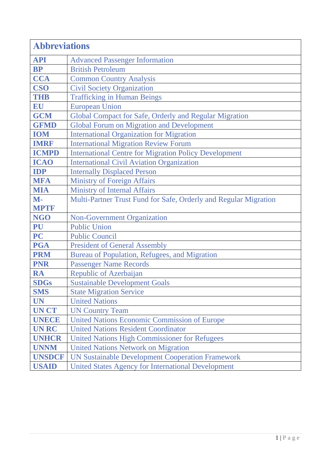| <b>Abbreviations</b> |                                                                  |  |
|----------------------|------------------------------------------------------------------|--|
| <b>API</b>           | <b>Advanced Passenger Information</b>                            |  |
| <b>BP</b>            | <b>British Petroleum</b>                                         |  |
| <b>CCA</b>           | <b>Common Country Analysis</b>                                   |  |
| <b>CSO</b>           | <b>Civil Society Organization</b>                                |  |
| <b>THB</b>           | <b>Trafficking in Human Beings</b>                               |  |
| EU                   | <b>European Union</b>                                            |  |
| <b>GCM</b>           | Global Compact for Safe, Orderly and Regular Migration           |  |
| <b>GFMD</b>          | <b>Global Forum on Migration and Development</b>                 |  |
| <b>IOM</b>           | <b>International Organization for Migration</b>                  |  |
| <b>IMRF</b>          | <b>International Migration Review Forum</b>                      |  |
| <b>ICMPD</b>         | <b>International Centre for Migration Policy Development</b>     |  |
| <b>ICAO</b>          | <b>International Civil Aviation Organization</b>                 |  |
| <b>IDP</b>           | <b>Internally Displaced Person</b>                               |  |
| <b>MFA</b>           | <b>Ministry of Foreign Affairs</b>                               |  |
| <b>MIA</b>           | <b>Ministry of Internal Affairs</b>                              |  |
| $M -$                | Multi-Partner Trust Fund for Safe, Orderly and Regular Migration |  |
| <b>MPTF</b>          |                                                                  |  |
| <b>NGO</b>           | <b>Non-Government Organization</b>                               |  |
| PU                   | <b>Public Union</b>                                              |  |
| <b>PC</b>            | <b>Public Council</b>                                            |  |
| <b>PGA</b>           | <b>President of General Assembly</b>                             |  |
| <b>PRM</b>           | Bureau of Population, Refugees, and Migration                    |  |
| <b>PNR</b>           | <b>Passenger Name Records</b>                                    |  |
| <b>RA</b>            | Republic of Azerbaijan                                           |  |
| <b>SDGs</b>          | <b>Sustainable Development Goals</b>                             |  |
| <b>SMS</b>           | <b>State Migration Service</b>                                   |  |
| <b>UN</b>            | <b>United Nations</b>                                            |  |
| <b>UNCT</b>          | <b>UN Country Team</b>                                           |  |
| <b>UNECE</b>         | <b>United Nations Economic Commission of Europe</b>              |  |
| <b>UNRC</b>          | <b>United Nations Resident Coordinator</b>                       |  |
| <b>UNHCR</b>         | <b>United Nations High Commissioner for Refugees</b>             |  |
| <b>UNNM</b>          | <b>United Nations Network on Migration</b>                       |  |
| <b>UNSDCF</b>        | <b>UN Sustainable Development Cooperation Framework</b>          |  |
| <b>USAID</b>         | <b>United States Agency for International Development</b>        |  |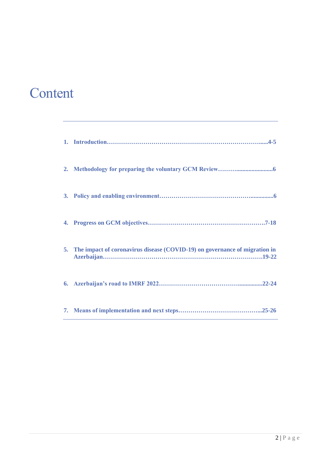# Content

| 5. The impact of coronavirus disease (COVID-19) on governance of migration in |
|-------------------------------------------------------------------------------|
|                                                                               |
|                                                                               |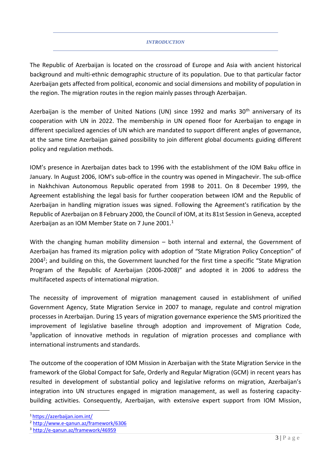#### *INTRODUCTION*

The Republic of Azerbaijan is located on the crossroad of Europe and Asia with ancient historical background and multi-ethnic demographic structure of its population. Due to that particular factor Azerbaijan gets affected from political, economic and social dimensions and mobility of population in the region. The migration routes in the region mainly passes through Azerbaijan.

Azerbaijan is the member of United Nations (UN) since 1992 and marks  $30<sup>th</sup>$  anniversary of its cooperation with UN in 2022. The membership in UN opened floor for Azerbaijan to engage in different specialized agencies of UN which are mandated to support different angles of governance, at the same time Azerbaijan gained possibility to join different global documents guiding different policy and regulation methods.

IOM's presence in Azerbaijan dates back to 1996 with the establishment of the IOM Baku office in January. In August 2006, IOM's sub-office in the country was opened in Mingachevir. The sub-office in Nakhchivan Autonomous Republic operated from 1998 to 2011. On 8 December 1999, the Agreement establishing the legal basis for further cooperation between IOM and the Republic of Azerbaijan in handling migration issues was signed. Following the Agreement's ratification by the Republic of Azerbaijan on 8 February 2000, the Council of IOM, at its 81st Session in Geneva, accepted Azerbaijan as an IOM Member State on 7 June 2001.<sup>1</sup>

With the changing human mobility dimension – both internal and external, the Government of Azerbaijan has framed its migration policy with adoption of "State Migration Policy Conception" of 2004<sup>2</sup>; and building on this, the Government launched for the first time a specific "State Migration Program of the Republic of Azerbaijan (2006-2008)" and adopted it in 2006 to address the multifaceted aspects of international migration.

The necessity of improvement of migration management caused in establishment of unified Government Agency, State Migration Service in 2007 to manage, regulate and control migration processes in Azerbaijan. During 15 years of migration governance experience the SMS prioritized the improvement of legislative baseline through adoption and improvement of Migration Code, <sup>3</sup>application of innovative methods in regulation of migration processes and compliance with international instruments and standards.

The outcome of the cooperation of IOM Mission in Azerbaijan with the State Migration Service in the framework of the Global Compact for Safe, Orderly and Regular Migration (GCM) in recent years has resulted in development of substantial policy and legislative reforms on migration, Azerbaijan's integration into UN structures engaged in migration management, as well as fostering capacitybuilding activities. Consequently, Azerbaijan, with extensive expert support from IOM Mission,

<sup>1</sup> https://azerbaijan.iom.int/

<sup>2</sup> <http://www.e-qanun.az/framework/6306>

<sup>3</sup> http://e-qanun.az/framework/46959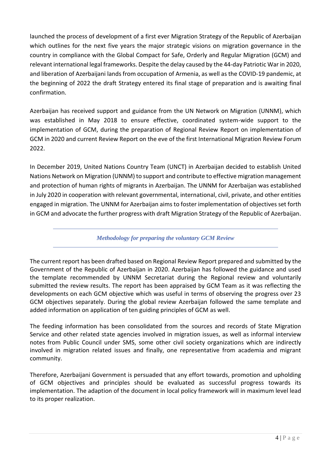launched the process of development of a first ever Migration Strategy of the Republic of Azerbaijan which outlines for the next five years the major strategic visions on migration governance in the country in compliance with the Global Compact for Safe, Orderly and Regular Migration (GCM) and relevant international legal frameworks. Despite the delay caused by the 44-day Patriotic War in 2020, and liberation of Azerbaijani lands from occupation of Armenia, as well as the COVID-19 pandemic, at the beginning of 2022 the draft Strategy entered its final stage of preparation and is awaiting final confirmation.

Azerbaijan has received support and guidance from the UN Network on Migration (UNNM), which was established in May 2018 to ensure effective, coordinated system-wide support to the implementation of GCM, during the preparation of Regional Review Report on implementation of GCM in 2020 and current Review Report on the eve of the first International Migration Review Forum 2022.

In December 2019, United Nations Country Team (UNCT) in Azerbaijan decided to establish United Nations Network on Migration (UNNM) to support and contribute to effective migration management and protection of human rights of migrants in Azerbaijan. The UNNM for Azerbaijan was established in July 2020 in cooperation with relevant governmental, international, civil, private, and other entities engaged in migration. The UNNM for Azerbaijan aims to foster implementation of objectives set forth in GCM and advocate the further progress with draft Migration Strategy of the Republic of Azerbaijan.

*Methodology for preparing the voluntary GCM Review*

The current report has been drafted based on Regional Review Report prepared and submitted by the Government of the Republic of Azerbaijan in 2020. Azerbaijan has followed the guidance and used the template recommended by UNNM Secretariat during the Regional review and voluntarily submitted the review results. The report has been appraised by GCM Team as it was reflecting the developments on each GCM objective which was useful in terms of observing the progress over 23 GCM objectives separately. During the global review Azerbaijan followed the same template and added information on application of ten guiding principles of GCM as well.

The feeding information has been consolidated from the sources and records of State Migration Service and other related state agencies involved in migration issues, as well as informal interview notes from Public Council under SMS, some other civil society organizations which are indirectly involved in migration related issues and finally, one representative from academia and migrant community.

Therefore, Azerbaijani Government is persuaded that any effort towards, promotion and upholding of GCM objectives and principles should be evaluated as successful progress towards its implementation. The adaption of the document in local policy framework will in maximum level lead to its proper realization.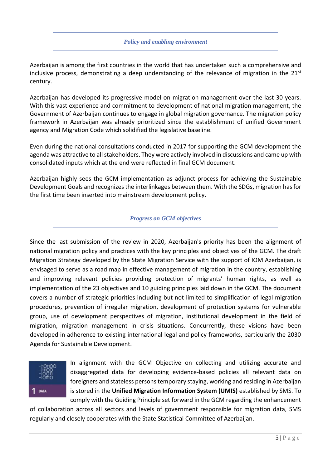#### *Policy and enabling environment*

Azerbaijan is among the first countries in the world that has undertaken such a comprehensive and inclusive process, demonstrating a deep understanding of the relevance of migration in the  $21^{st}$ century.

Azerbaijan has developed its progressive model on migration management over the last 30 years. With this vast experience and commitment to development of national migration management, the Government of Azerbaijan continues to engage in global migration governance. The migration policy framework in Azerbaijan was already prioritized since the establishment of unified Government agency and Migration Code which solidified the legislative baseline.

Even during the national consultations conducted in 2017 for supporting the GCM development the agenda was attractive to all stakeholders. They were actively involved in discussions and came up with consolidated inputs which at the end were reflected in final GCM document.

Azerbaijan highly sees the GCM implementation as adjunct process for achieving the Sustainable Development Goals and recognizes the interlinkages between them. With the SDGs, migration has for the first time been inserted into mainstream development policy.

#### *Progress on GCM objectives*

Since the last submission of the review in 2020, Azerbaijan's priority has been the alignment of national migration policy and practices with the key principles and objectives of the GCM. The draft Migration Strategy developed by the State Migration Service with the support of IOM Azerbaijan, is envisaged to serve as a road map in effective management of migration in the country, establishing and improving relevant policies providing protection of migrants' human rights, as well as implementation of the 23 objectives and 10 guiding principles laid down in the GCM. The document covers a number of strategic priorities including but not limited to simplification of legal migration procedures, prevention of irregular migration, development of protection systems for vulnerable group, use of development perspectives of migration, institutional development in the field of migration, migration management in crisis situations. Concurrently, these visions have been developed in adherence to existing international legal and policy frameworks, particularly the 2030 Agenda for Sustainable Development.



In alignment with the GCM Objective on collecting and utilizing accurate and disaggregated data for developing evidence-based policies all relevant data on foreigners and stateless persons temporary staying, working and residing in Azerbaijan is stored in the **Unified Migration Information System (UMIS)** established by SMS. To comply with the Guiding Principle set forward in the GCM regarding the enhancement

of collaboration across all sectors and levels of government responsible for migration data, SMS regularly and closely cooperates with the State Statistical Committee of Azerbaijan.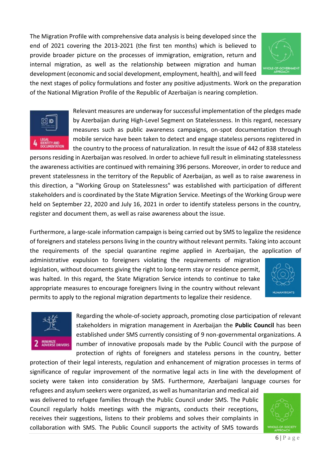The Migration Profile with comprehensive data analysis is being developed since the end of 2021 covering the 2013-2021 (the first ten months) which is believed to provide broader picture on the processes of immigration, emigration, return and internal migration, as well as the relationship between migration and human development (economic and social development, employment, health), and will feed



the next stages of policy formulations and foster any positive adjustments. Work on the preparation of the National Migration Profile of the Republic of Azerbaijan is nearing completion.



Relevant measures are underway for successful implementation of the pledges made by Azerbaijan during High-Level Segment on Statelessness. In this regard, necessary measures such as public awareness campaigns, on-spot documentation through mobile service have been taken to detect and engage stateless persons registered in the country to the process of naturalization. In result the issue of 442 of 838 stateless

persons residing in Azerbaijan was resolved. In order to achieve full result in eliminating statelessness the awareness activities are continued with remaining 396 persons. Moreover, in order to reduce and prevent statelessness in the territory of the Republic of Azerbaijan, as well as to raise awareness in this direction, a "Working Group on Statelessness" was established with participation of different stakeholders and is coordinated by the State Migration Service. Meetings of the Working Group were held on September 22, 2020 and July 16, 2021 in order to identify stateless persons in the country, register and document them, as well as raise awareness about the issue.

Furthermore, a large-scale information campaign is being carried out by SMS to legalize the residence of foreigners and stateless persons living in the country without relevant permits. Taking into account the requirements of the special quarantine regime applied in Azerbaijan, the application of

administrative expulsion to foreigners violating the requirements of migration legislation, without documents giving the right to long-term stay or residence permit, was halted. In this regard, the State Migration Service intends to continue to take appropriate measures to encourage foreigners living in the country without relevant permits to apply to the regional migration departments to legalize their residence.





Regarding the whole-of-society approach, promoting close participation of relevant stakeholders in migration management in Azerbaijan the **Public Council** has been established under SMS currently consisting of 9 non-governmental organizations. A number of innovative proposals made by the Public Council with the purpose of protection of rights of foreigners and stateless persons in the country, better

protection of their legal interests, regulation and enhancement of migration processes in terms of significance of regular improvement of the normative legal acts in line with the development of society were taken into consideration by SMS. Furthermore, Azerbaijani language courses for

refugees and asylum seekers were organized, as well as humanitarian and medical aid was delivered to refugee families through the Public Council under SMS. The Public Council regularly holds meetings with the migrants, conducts their receptions, receives their suggestions, listens to their problems and solves their complaints in collaboration with SMS. The Public Council supports the activity of SMS towards

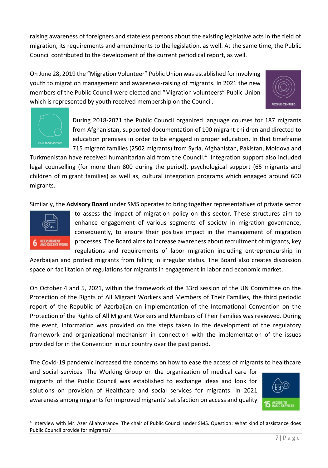raising awareness of foreigners and stateless persons about the existing legislative acts in the field of migration, its requirements and amendments to the legislation, as well. At the same time, the Public Council contributed to the development of the current periodical report, as well.

On June 28, 2019 the "Migration Volunteer" Public Union was established for involving youth to migration management and awareness-raising of migrants. In 2021 the new members of the Public Council were elected and "Migration volunteers" Public Union which is represented by youth received membership on the Council.





During 2018-2021 the Public Council organized language courses for 187 migrants from Afghanistan, supported documentation of 100 migrant children and directed to education premises in order to be engaged in proper education. In that timeframe 715 migrant families (2502 migrants) from Syria, Afghanistan, Pakistan, Moldova and

Turkmenistan have received humanitarian aid from the Council. 4 Integration support also included legal counselling (for more than 800 during the period), psychological support (65 migrants and children of migrant families) as well as, cultural integration programs which engaged around 600 migrants.

Similarly, the **Advisory Board** under SMS operates to bring together representatives of private sector



to assess the impact of migration policy on this sector. These structures aim to enhance engagement of various segments of society in migration governance, consequently, to ensure their positive impact in the management of migration processes. The Board aims to increase awareness about recruitment of migrants, key regulations and requirements of labor migration including entrepreneurship in

Azerbaijan and protect migrants from falling in irregular status. The Board also creates discussion space on facilitation of regulations for migrants in engagement in labor and economic market.

On October 4 and 5, 2021, within the framework of the 33rd session of the UN Committee on the Protection of the Rights of All Migrant Workers and Members of Their Families, the third periodic report of the Republic of Azerbaijan on implementation of the International Convention on the Protection of the Rights of All Migrant Workers and Members of Their Families was reviewed. During the event, information was provided on the steps taken in the development of the regulatory framework and organizational mechanism in connection with the implementation of the issues provided for in the Convention in our country over the past period.

The Covid-19 pandemic increased the concerns on how to ease the access of migrants to healthcare

and social services. The Working Group on the organization of medical care for migrants of the Public Council was established to exchange ideas and look for solutions on provision of Healthcare and social services for migrants. In 2021 awareness among migrants for improved migrants' satisfaction on access and quality



<sup>4</sup> Interview with Mr. Azer Allahveranov. The chair of Public Council under SMS. Question: What kind of assistance does Public Council provide for migrants?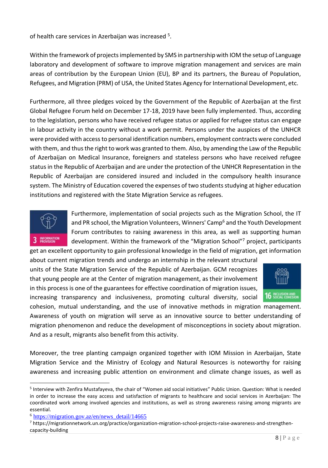of health care services in Azerbaijan was increased <sup>5</sup>.

Within the framework of projects implemented by SMS in partnership with IOM the setup of Language laboratory and development of software to improve migration management and services are main areas of contribution by the European Union (EU), BP and its partners, the Bureau of Population, Refugees, and Migration (PRM) of USA, the United States Agency for International Development, etc.

Furthermore, all three pledges voiced by the Government of the Republic of Azerbaijan at the first Global Refugee Forum held on December 17-18, 2019 have been fully implemented. Thus, according to the legislation, persons who have received refugee status or applied for refugee status can engage in labour activity in the country without a work permit. Persons under the auspices of the UNHCR were provided with access to personal identification numbers, employment contracts were concluded with them, and thus the right to work was granted to them. Also, by amending the Law of the Republic of Azerbaijan on Medical Insurance, foreigners and stateless persons who have received refugee status in the Republic of Azerbaijan and are under the protection of the UNHCR Representation in the Republic of Azerbaijan are considered insured and included in the compulsory health insurance system. The Ministry of Education covered the expenses of two students studying at higher education institutions and registered with the State Migration Service as refugees.



Furthermore, implementation of social projects such as the Migration School, the IT and PR school, the Migration Volunteers, Winners' Camp<sup>6</sup> and the Youth Development Forum contributes to raising awareness in this area, as well as supporting human development. Within the framework of the "Migration School" <sup>7</sup> project, participants get an excellent opportunity to gain professional knowledge in the field of migration, get information

about current migration trends and undergo an internship in the relevant structural units of the State Migration Service of the Republic of Azerbaijan. GCM recognizes that young people are at the Center of migration management, as their involvement in this process is one of the guarantees for effective coordination of migration issues, increasing transparency and inclusiveness, promoting cultural diversity, social



cohesion, mutual understanding, and the use of innovative methods in migration management. Awareness of youth on migration will serve as an innovative source to better understanding of migration phenomenon and reduce the development of misconceptions in society about migration. And as a result, migrants also benefit from this activity.

Moreover, the tree planting campaign organized together with IOM Mission in Azerbaijan, State Migration Service and the Ministry of Ecology and Natural Resources is noteworthy for raising awareness and increasing public attention on environment and climate change issues, as well as

<sup>&</sup>lt;sup>5</sup> Interview with Zenfira Mustafayeva, the chair of "Women aid social initiatives" Public Union. Question: What is needed in order to increase the easy access and satisfaction of migrants to healthcare and social services in Azerbaijan: The coordinated work among involved agencies and institutions, as well as strong awareness raising among migrants are essential.

<sup>6</sup> [https://migration.gov.az/en/news\\_detail/14665](https://migration.gov.az/en/news_detail/14665)

<sup>7</sup> https://migrationnetwork.un.org/practice/organization-migration-school-projects-raise-awareness-and-strengthencapacity-building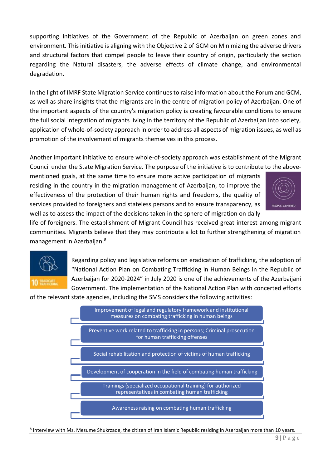supporting initiatives of the Government of the Republic of Azerbaijan on green zones and environment. This initiative is aligning with the Objective 2 of GCM on Minimizing the adverse drivers and structural factors that compel people to leave their country of origin, particularly the section regarding the Natural disasters, the adverse effects of climate change, and environmental degradation.

In the light of IMRF State Migration Service continues to raise information about the Forum and GCM, as well as share insights that the migrants are in the centre of migration policy of Azerbaijan. One of the important aspects of the country's migration policy is creating favourable conditions to ensure the full social integration of migrants living in the territory of the Republic of Azerbaijan into society, application of whole-of-society approach in order to address all aspects of migration issues, as well as promotion of the involvement of migrants themselves in this process.

Another important initiative to ensure whole-of-society approach was establishment of the Migrant Council under the State Migration Service. The purpose of the initiative is to contribute to the above-

mentioned goals, at the same time to ensure more active participation of migrants residing in the country in the migration management of Azerbaijan, to improve the effectiveness of the protection of their human rights and freedoms, the quality of services provided to foreigners and stateless persons and to ensure transparency, as well as to assess the impact of the decisions taken in the sphere of migration on daily



life of foreigners. The establishment of Migrant Council has received great interest among migrant communities. Migrants believe that they may contribute a lot to further strengthening of migration management in Azerbaijan.<sup>8</sup>



Regarding policy and legislative reforms on eradication of trafficking, the adoption of "National Action Plan on Combating Trafficking in Human Beings in the Republic of Azerbaijan for 2020-2024" in July 2020 is one of the achievements of the Azerbaijani Government. The implementation of the National Action Plan with concerted efforts

of the relevant state agencies, including the SMS considers the following activities:



<sup>8</sup> Interview with Ms. Mesume Shukrzade, the citizen of Iran Islamic Republic residing in Azerbaijan more than 10 years.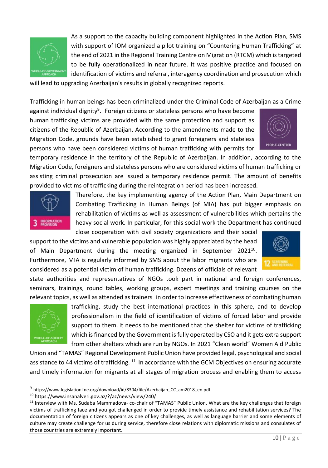

As a support to the capacity building component highlighted in the Action Plan, SMS with support of IOM organized a pilot training on "Countering Human Trafficking" at the end of 2021 in the Regional Training Centre on Migration (RTCM) which is targeted to be fully operationalized in near future. It was positive practice and focused on identification of victims and referral, interagency coordination and prosecution which

will lead to upgrading Azerbaijan's results in globally recognized reports.

Trafficking in human beings has been criminalized under the Criminal Code of Azerbaijan as a Crime

against individual dignity<sup>9</sup>. Foreign citizens or stateless persons who have become human trafficking victims are provided with the same protection and support as citizens of the Republic of Azerbaijan. According to the amendments made to the Migration Code, grounds have been established to grant foreigners and stateless persons who have been considered victims of human trafficking with permits for



temporary residence in the territory of the Republic of Azerbaijan. In addition, according to the Migration Code, foreigners and stateless persons who are considered victims of human trafficking or assisting criminal prosecution are issued a temporary residence permit. The amount of benefits provided to victims of trafficking during the reintegration period has been increased.



Therefore, the key implementing agency of the Action Plan, Main Department on Combating Trafficking in Human Beings (of MIA) has put bigger emphasis on rehabilitation of victims as well as assessment of vulnerabilities which pertains the heavy social work. In particular, for this social work the Department has continued close cooperation with civil society organizations and their social

support to the victims and vulnerable population was highly appreciated by the head of Main Department during the meeting organized in September 2021<sup>10</sup>. Furthermore, MIA is regularly informed by SMS about the labor migrants who are considered as a potential victim of human trafficking. Dozens of officials of relevant

state authorities and representatives of NGOs took part in national and foreign conferences, seminars, trainings, round tables, working groups, expert meetings and training courses on the relevant topics, as well as attended as trainers in order to increase effectiveness of combating human



trafficking, study the best international practices in this sphere, and to develop professionalism in the field of identification of victims of forced labor and provide support to them. It needs to be mentioned that the shelter for victims of trafficking which is financed by the Government is fully operated by CSO and it gets extra support from other shelters which are run by NGOs. In 2021 "Clean world" Women Aid Public

Union and "TAMAS" Regional Development Public Union have provided legal, psychological and social assistance to 44 victims of trafficking. <sup>11</sup> In accordance with the GCM Objectives on ensuring accurate and timely information for migrants at all stages of migration process and enabling them to access



 $^9$  https://www.legislationline.org/download/id/8304/file/Azerbaijan\_CC\_am2018\_en.pdf

<sup>10</sup> https://www.insanalveri.gov.az/?/az/news/view/240/

<sup>&</sup>lt;sup>11</sup> Interview with Ms. Sudaba Mammadova- co-chair of "TAMAS" Public Union. What are the key challenges that foreign victims of trafficking face and you got challenged in order to provide timely assistance and rehabilitation services? The documentation of foreign citizens appears as one of key challenges, as well as language barrier and some elements of culture may create challenge for us during service, therefore close relations with diplomatic missions and consulates of those countries are extremely important.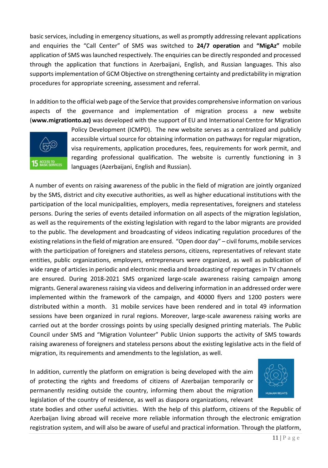basic services, including in emergency situations, as well as promptly addressing relevant applications and enquiries the "Call Center" of SMS was switched to **24/7 operation** and **"MigAz"** mobile application of SMS was launched respectively. The enquiries can be directly responded and processed through the application that functions in Azerbaijani, English, and Russian languages. This also supports implementation of GCM Objective on strengthening certainty and predictability in migration procedures for appropriate screening, assessment and referral.

In addition to the official web page of the Service that provides comprehensive information on various aspects of the governance and implementation of migration process a new website (**www.migrationto.az)** was developed with the support of EU and International Centre for Migration



Policy Development (ICMPD). The new website serves as a centralized and publicly accessible virtual source for obtaining information on pathways for regular migration, visa requirements, application procedures, fees, requirements for work permit, and regarding professional qualification. The website is currently functioning in 3 languages (Azerbaijani, English and Russian).

A number of events on raising awareness of the public in the field of migration are jointly organized by the SMS, district and city executive authorities, as well as higher educational institutions with the participation of the local municipalities, employers, media representatives, foreigners and stateless persons. During the series of events detailed information on all aspects of the migration legislation, as well as the requirements of the existing legislation with regard to the labor migrants are provided to the public. The development and broadcasting of videos indicating regulation procedures of the existing relations in the field of migration are ensured. "Open door day" – civil forums, mobile services with the participation of foreigners and stateless persons, citizens, representatives of relevant state entities, public organizations, employers, entrepreneurs were organized, as well as publication of wide range of articles in periodic and electronic media and broadcasting of reportages in TV channels are ensured. During 2018-2021 SMS organized large-scale awareness raising campaign among migrants. General awareness raising via videos and delivering information in an addressed order were implemented within the framework of the campaign, and 40000 flyers and 1200 posters were distributed within a month. 31 mobile services have been rendered and in total 49 information sessions have been organized in rural regions. Moreover, large-scale awareness raising works are carried out at the border crossings points by using specially designed printing materials. The Public Council under SMS and "Migration Volunteer" Public Union supports the activity of SMS towards raising awareness of foreigners and stateless persons about the existing legislative acts in the field of migration, its requirements and amendments to the legislation, as well.

In addition, currently the platform on emigration is being developed with the aim of protecting the rights and freedoms of citizens of Azerbaijan temporarily or permanently residing outside the country, informing them about the migration legislation of the country of residence, as well as diaspora organizations, relevant



state bodies and other useful activities. With the help of this platform, citizens of the Republic of Azerbaijan living abroad will receive more reliable information through the electronic emigration registration system, and will also be aware of useful and practical information. Through the platform,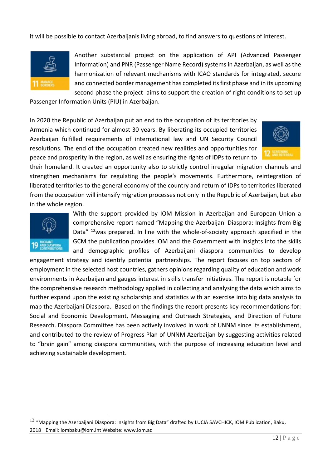it will be possible to contact Azerbaijanis living abroad, to find answers to questions of interest.



Another substantial project on the application of API (Advanced Passenger Information) and PNR (Passenger Name Record) systems in Azerbaijan, as well as the harmonization of relevant mechanisms with ICAO standards for integrated, secure and connected border management has completed its first phase and in its upcoming second phase the project aims to support the creation of right conditions to set up

Passenger Information Units (PIU) in Azerbaijan.

In 2020 the Republic of Azerbaijan put an end to the occupation of its territories by Armenia which continued for almost 30 years. By liberating its occupied territories Azerbaijan fulfilled requirements of international law and UN Security Council resolutions. The end of the occupation created new realities and opportunities for peace and prosperity in the region, as well as ensuring the rights of IDPs to return to



their homeland. It created an opportunity also to strictly control irregular migration channels and strengthen mechanisms for regulating the people's movements. Furthermore, reintegration of liberated territories to the general economy of the country and return of IDPs to territories liberated from the occupation will intensify migration processes not only in the Republic of Azerbaijan, but also in the whole region.



With the support provided by IOM Mission in Azerbaijan and European Union a comprehensive report named "Mapping the Azerbaijani Diaspora: Insights from Big Data" <sup>12</sup>was prepared. In line with the whole-of-society approach specified in the GCM the publication provides IOM and the Government with insights into the skills and demographic profiles of Azerbaijani diaspora communities to develop

engagement strategy and identify potential partnerships. The report focuses on top sectors of employment in the selected host countries, gathers opinions regarding quality of education and work environments in Azerbaijan and gauges interest in skills transfer initiatives. The report is notable for the comprehensive research methodology applied in collecting and analysing the data which aims to further expand upon the existing scholarship and statistics with an exercise into big data analysis to map the Azerbaijani Diaspora. Based on the findings the report presents key recommendations for: Social and Economic Development, Messaging and Outreach Strategies, and Direction of Future Research. Diaspora Committee has been actively involved in work of UNNM since its establishment, and contributed to the review of Progress Plan of UNNM Azerbaijan by suggesting activities related to "brain gain" among diaspora communities, with the purpose of increasing education level and achieving sustainable development.

 $12$  "Mapping the Azerbaijani Diaspora: Insights from Big Data" drafted by LUCIA SAVCHICK, IOM Publication, Baku, 2018 Email: iombaku@iom.int Website: www.iom.az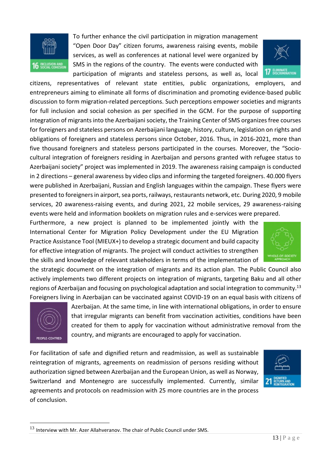

To further enhance the civil participation in migration management "Open Door Day" citizen forums, awareness raising events, mobile services, as well as conferences at national level were organized by SMS in the regions of the country. The events were conducted with participation of migrants and stateless persons, as well as, local



citizens, representatives of relevant state entities, public organizations, employers, and entrepreneurs aiming to eliminate all forms of discrimination and promoting evidence-based public discussion to form migration-related perceptions. Such perceptions empower societies and migrants for full inclusion and social cohesion as per specified in the GCM. For the purpose of supporting integration of migrants into the Azerbaijani society, the Training Center of SMS organizes free courses for foreigners and stateless persons on Azerbaijani language, history, culture, legislation on rights and obligations of foreigners and stateless persons since October, 2016. Thus, in 2016-2021, more than five thousand foreigners and stateless persons participated in the courses. Moreover, the "Sociocultural integration of foreigners residing in Azerbaijan and persons granted with refugee status to Azerbaijani society" project was implemented in 2019. The awareness raising campaign is conducted in 2 directions – general awareness by video clips and informing the targeted foreigners. 40.000 flyers were published in Azerbaijani, Russian and English languages within the campaign. These flyers were presented to foreigners in airport, sea ports, railways, restaurants network, etc. During 2020, 9 mobile services, 20 awareness-raising events, and during 2021, 22 mobile services, 29 awareness-raising events were held and information booklets on migration rules and e-services were prepared.

Furthermore, a new project is planned to be implemented jointly with the International Center for Migration Policy Development under the EU Migration Practice Assistance Tool (MIEUX+) to develop a strategic document and build capacity for effective integration of migrants. The project will conduct activities to strengthen the skills and knowledge of relevant stakeholders in terms of the implementation of



the strategic document on the integration of migrants and its action plan. The Public Council also actively implements two different projects on integration of migrants, targeting Baku and all other regions of Azerbaijan and focusing on psychological adaptation and social integration to community.<sup>13</sup> Foreigners living in Azerbaijan can be vaccinated against COVID-19 on an equal basis with citizens of



Azerbaijan. At the same time, in line with international obligations, in order to ensure that irregular migrants can benefit from vaccination activities, conditions have been created for them to apply for vaccination without administrative removal from the country, and migrants are encouraged to apply for vaccination.

For facilitation of safe and dignified return and readmission, as well as sustainable reintegration of migrants, agreements on readmission of persons residing without authorization signed between Azerbaijan and the European Union, as well as Norway, Switzerland and Montenegro are successfully implemented. Currently, similar agreements and protocols on readmission with 25 more countries are in the process of conclusion.



 $13$  Interview with Mr. Azer Allahveranov. The chair of Public Council under SMS.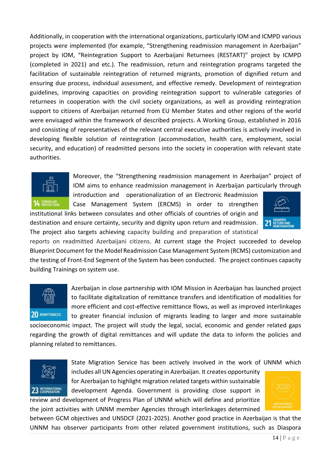Additionally, in cooperation with the international organizations, particularly IOM and ICMPD various projects were implemented (for example, "Strengthening readmission management in Azerbaijan" project by IOM, "Reintegration Support to Azerbaijani Returnees (RESTART)" project by ICMPD (completed in 2021) and etc.). The readmission, return and reintegration programs targeted the facilitation of sustainable reintegration of returned migrants, promotion of dignified return and ensuring due process, individual assessment, and effective remedy. Development of reintegration guidelines, improving capacities on providing reintegration support to vulnerable categories of returnees in cooperation with the civil society organizations, as well as providing reintegration support to citizens of Azerbaijan returned from EU Member States and other regions of the world were envisaged within the framework of described projects. A Working Group, established in 2016 and consisting of representatives of the relevant central executive authorities is actively involved in developing flexible solution of reintegration (accommodation, health care, employment, social security, and education) of readmitted persons into the society in cooperation with relevant state authorities.



Moreover, the "Strengthening readmission management in Azerbaijan" project of IOM aims to enhance readmission management in Azerbaijan particularly through

introduction and operationalization of an Electronic Readmission Case Management System (ERCMS) in order to strengthen

institutional links between consulates and other officials of countries of origin and destination and ensure certainty, security and dignity upon return and readmission. The project also targets achieving capacity building and preparation of statistical



reports on readmitted Azerbaijani citizens. At current stage the Project succeeded to develop Blueprint Document for the Model Readmission Case Management System (RCMS) customization and the testing of Front-End Segment of the System has been conducted. The project continues capacity building Trainings on system use.



Azerbaijan in close partnership with IOM Mission in Azerbaijan has launched project to facilitate digitalization of remittance transfers and identification of modalities for more efficient and cost-effective remittance flows, as well as improved interlinkages to greater financial inclusion of migrants leading to larger and more sustainable

socioeconomic impact. The project will study the legal, social, economic and gender related gaps regarding the growth of digital remittances and will update the data to inform the policies and planning related to remittances.



State Migration Service has been actively involved in the work of UNNM which

includes all UN Agencies operating in Azerbaijan. It creates opportunity for Azerbaijan to highlight migration related targets within sustainable development Agenda. Government is providing close support in

review and development of Progress Plan of UNNM which will define and prioritize the joint activities with UNNM member Agencies through interlinkages determined



between GCM objectives and UNSDCF (2021-2025). Another good practice in Azerbaijan is that the UNNM has observer participants from other related government institutions, such as Diaspora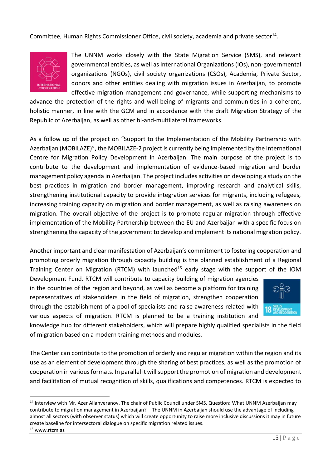Committee, Human Rights Commissioner Office, civil society, academia and private sector<sup>14</sup>.



The UNNM works closely with the State Migration Service (SMS), and relevant governmental entities, as well as International Organizations (IOs), non-governmental organizations (NGOs), civil society organizations (CSOs), Academia, Private Sector, donors and other entities dealing with migration issues in Azerbaijan, to promote effective migration management and governance, while supporting mechanisms to

advance the protection of the rights and well-being of migrants and communities in a coherent, holistic manner, in line with the GCM and in accordance with the draft Migration Strategy of the Republic of Azerbaijan, as well as other bi-and-multilateral frameworks.

As a follow up of the project on "Support to the Implementation of the Mobility Partnership with Azerbaijan (MOBILAZE)", the MOBILAZE-2 project is currently being implemented by the International Centre for Migration Policy Development in Azerbaijan. The main purpose of the project is to contribute to the development and implementation of evidence-based migration and border management policy agenda in Azerbaijan. The project includes activities on developing a study on the best practices in migration and border management, improving research and analytical skills, strengthening institutional capacity to provide integration services for migrants, including refugees, increasing training capacity on migration and border management, as well as raising awareness on migration. The overall objective of the project is to promote regular migration through effective implementation of the Mobility Partnership between the EU and Azerbaijan with a specific focus on strengthening the capacity of the government to develop and implement its national migration policy.

Another important and clear manifestation of Azerbaijan's commitment to fostering cooperation and promoting orderly migration through capacity building is the planned establishment of a Regional Training Center on Migration (RTCM) with launched<sup>15</sup> early stage with the support of the IOM

Development Fund. RTCM will contribute to capacity building of migration agencies in the countries of the region and beyond, as well as become a platform for training representatives of stakeholders in the field of migration, strengthen cooperation through the establishment of a pool of specialists and raise awareness related with various aspects of migration. RTCM is planned to be a training institution and



knowledge hub for different stakeholders, which will prepare highly qualified specialists in the field of migration based on a modern training methods and modules.

The Center can contribute to the promotion of orderly and regular migration within the region and its use as an element of development through the sharing of best practices, as well as the promotion of cooperation in various formats. In parallel it will support the promotion of migration and development and facilitation of mutual recognition of skills, qualifications and competences. RTCM is expected to

<sup>&</sup>lt;sup>14</sup> Interview with Mr. Azer Allahveranov. The chair of Public Council under SMS. Question: What UNNM Azerbaijan may contribute to migration management in Azerbaijan? – The UNNM in Azerbaijan should use the advantage of including almost all sectors (with observer status) which will create opportunity to raise more inclusive discussions it may in future create baseline for intersectoral dialogue on specific migration related issues.

<sup>15</sup> www.rtcm.az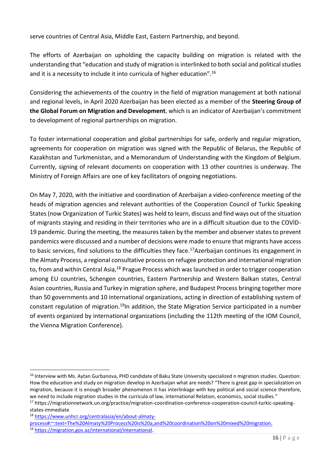serve countries of Central Asia, Middle East, Eastern Partnership, and beyond.

The efforts of Azerbaijan on upholding the capacity building on migration is related with the understanding that "education and study of migration is interlinked to both social and political studies and it is a necessity to include it into curricula of higher education". $^{16}$ 

Considering the achievements of the country in the field of migration management at both national and regional levels, in April 2020 Azerbaijan has been elected as a member of the **Steering Group of the Global Forum on Migration and Development**, which is an indicator of Azerbaijan's commitment to development of regional partnerships on migration.

To foster international cooperation and global partnerships for safe, orderly and regular migration, agreements for cooperation on migration was signed with the Republic of Belarus, the Republic of Kazakhstan and Turkmenistan, and a Memorandum of Understanding with the Kingdom of Belgium. Currently, signing of relevant documents on cooperation with 13 other countries is underway. The Ministry of Foreign Affairs are one of key facilitators of ongoing negotiations.

On May 7, 2020, with the initiative and coordination of Azerbaijan a video-conference meeting of the heads of migration agencies and relevant authorities of the Cooperation Council of Turkic Speaking States (now Organization of Turkic States) was held to learn, discuss and find ways out of the situation of migrants staying and residing in their territories who are in a difficult situation due to the COVİD-19 pandemic. During the meeting, the measures taken by the member and observer states to prevent pandemics were discussed and a number of decisions were made to ensure that migrants have access to basic services, find solutions to the difficulties they face.<sup>17</sup>Azerbaijan continues its engagement in the Almaty Process, a regional consultative process on refugee protection and international migration to, from and within Central Asia,<sup>18</sup> Prague Process which was launched in order to trigger cooperation among EU countries, Schengen countries, Eastern Partnership and Western Balkan states, Central Asian countries, Russia and Turkey in migration sphere, and Budapest Process bringing together more than 50 governments and 10 international organizations, acting in direction of establishing system of constant regulation of migration.<sup>19</sup>In addition, the State Migration Service participated in a number of events organized by international organizations (including the 112th meeting of the IOM Council, the Vienna Migration Conference).

<sup>&</sup>lt;sup>16</sup> Interview with Ms. Aytan Gurbanova, PHD candidate of Baku State University specialized n migration studies. Question: How the education and study on migration develop in Azerbaijan what are needs? "There is great gap in specialization on migration, because it is enough broader phenomenon it has interlinkage with key political and social science therefore, we need to include migration studies in the curricula of law, international Relation, economics, social studies."

<sup>&</sup>lt;sup>17</sup> https://migrationnetwork.un.org/practice/migration-coordination-conference-cooperation-council-turkic-speakingstates-immediate

<sup>18</sup> [https://www.unhcr.org/centralasia/en/about-almaty-](https://www.unhcr.org/centralasia/en/about-almaty-process#:~:text=The%20Almaty%20Process%20is%20a,and%20coordination%20on%20mixed%20migration.)

[process#:~:text=The%20Almaty%20Process%20is%20a,and%20coordination%20on%20mixed%20migration.](https://www.unhcr.org/centralasia/en/about-almaty-process#:~:text=The%20Almaty%20Process%20is%20a,and%20coordination%20on%20mixed%20migration.)

<sup>19</sup> [https://migration.gov.az/international/international.](https://migration.gov.az/international/international)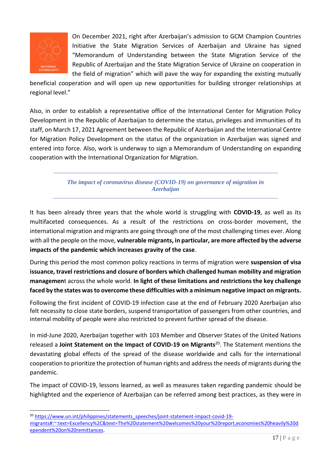

On December 2021, right after Azerbaijan's admission to GCM Champion Countries Initiative the State Migration Services of Azerbaijan and Ukraine has signed "Memorandum of Understanding between the State Migration Service of the Republic of Azerbaijan and the State Migration Service of Ukraine on cooperation in the field of migration" which will pave the way for expanding the existing mutually

beneficial cooperation and will open up new opportunities for building stronger relationships at regional level."

Also, in order to establish a representative office of the International Center for Migration Policy Development in the Republic of Azerbaijan to determine the status, privileges and immunities of its staff, on March 17, 2021 Agreement between the Republic of Azerbaijan and the International Centre for Migration Policy Development on the status of the organization in Azerbaijan was signed and entered into force. Also, work is underway to sign a Memorandum of Understanding on expanding cooperation with the International Organization for Migration.

> *The impact of coronavirus disease (COVID-19) on governance of migration in Azerbaijan*

It has been already three years that the whole world is struggling with **COVID-19**, as well as its multifaceted consequences. As a result of the restrictions on cross-border movement, the international migration and migrants are going through one of the most challenging times ever. Along with all the people on the move, **vulnerable migrants, in particular, are more affected by the adverse impacts of the pandemic which increases gravity of the case**.

During this period the most common policy reactions in terms of migration were **suspension of visa issuance, travel restrictions and closure of borders which challenged human mobility and migration managemen**t across the whole world. **In light of these limitations and restrictions the key challenge faced by the states was to overcome these difficulties with a minimum negative impact on migrants.**

Following the first incident of COVID-19 infection case at the end of February 2020 Azerbaijan also felt necessity to close state borders, suspend transportation of passengers from other countries, and internal mobility of people were also restricted to prevent further spread of the disease.

In mid-June 2020, Azerbaijan together with 103 Member and Observer States of the United Nations released a **Joint Statement on the Impact of COVID-19 on Migrants**<sup>20</sup>. The Statement mentions the devastating global effects of the spread of the disease worldwide and calls for the international cooperation to prioritize the protection of human rights and address the needs of migrants during the pandemic.

The impact of COVID-19, lessons learned, as well as measures taken regarding pandemic should be highlighted and the experience of Azerbaijan can be referred among best practices, as they were in

<sup>&</sup>lt;sup>20</sup> [https://www.un.int/philippines/statements\\_speeches/joint-statement-impact-covid-19-](https://www.un.int/philippines/statements_speeches/joint-statement-impact-covid-19-migrants#:~:text=Excellency%2C&text=The%20statement%20welcomes%20your%20report,economies%20heavily%20dependent%20on%20remittances)

[migrants#:~:text=Excellency%2C&text=The%20statement%20welcomes%20your%20report,economies%20heavily%20d](https://www.un.int/philippines/statements_speeches/joint-statement-impact-covid-19-migrants#:~:text=Excellency%2C&text=The%20statement%20welcomes%20your%20report,economies%20heavily%20dependent%20on%20remittances) [ependent%20on%20remittances.](https://www.un.int/philippines/statements_speeches/joint-statement-impact-covid-19-migrants#:~:text=Excellency%2C&text=The%20statement%20welcomes%20your%20report,economies%20heavily%20dependent%20on%20remittances)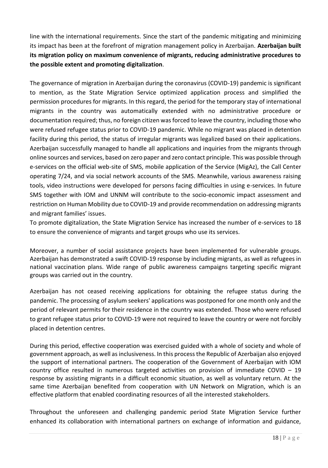line with the international requirements. Since the start of the pandemic mitigating and minimizing its impact has been at the forefront of migration management policy in Azerbaijan. **Azerbaijan built its migration policy on maximum convenience of migrants, reducing administrative procedures to the possible extent and promoting digitalization**.

The governance of migration in Azerbaijan during the coronavirus (COVID-19) pandemic is significant to mention, as the State Migration Service optimized application process and simplified the permission procedures for migrants. In this regard, the period for the temporary stay of international migrants in the country was automatically extended with no administrative procedure or documentation required; thus, no foreign citizen was forced to leave the country, including those who were refused refugee status prior to COVID-19 pandemic. While no migrant was placed in detention facility during this period, the status of irregular migrants was legalized based on their applications. Azerbaijan successfully managed to handle all applications and inquiries from the migrants through online sources and services, based on zero paper and zero contact principle. This was possible through e-services on the official web-site of SMS, mobile application of the Service (MigAz), the Call Center operating 7/24, and via social network accounts of the SMS. Meanwhile, various awareness raising tools, video instructions were developed for persons facing difficulties in using e-services. In future SMS together with IOM and UNNM will contribute to the socio-economic impact assessment and restriction on Human Mobility due to COVID-19 and provide recommendation on addressing migrants and migrant families' issues.

To promote digitalization, the State Migration Service has increased the number of e-services to 18 to ensure the convenience of migrants and target groups who use its services.

Moreover, a number of social assistance projects have been implemented for vulnerable groups. Azerbaijan has demonstrated a swift COVID-19 response by including migrants, as well as refugees in national vaccination plans. Wide range of public awareness campaigns targeting specific migrant groups was carried out in the country.

Azerbaijan has not ceased receiving applications for obtaining the refugee status during the pandemic. The processing of asylum seekers' applications was postponed for one month only and the period of relevant permits for their residence in the country was extended. Those who were refused to grant refugee status prior to COVID-19 were not required to leave the country or were not forcibly placed in detention centres.

During this period, effective cooperation was exercised guided with a whole of society and whole of government approach, as well as inclusiveness. In this process the Republic of Azerbaijan also enjoyed the support of international partners. The cooperation of the Government of Azerbaijan with IOM country office resulted in numerous targeted activities on provision of immediate COVID – 19 response by assisting migrants in a difficult economic situation, as well as voluntary return. At the same time Azerbaijan benefited from cooperation with UN Network on Migration, which is an effective platform that enabled coordinating resources of all the interested stakeholders.

Throughout the unforeseen and challenging pandemic period State Migration Service further enhanced its collaboration with international partners on exchange of information and guidance,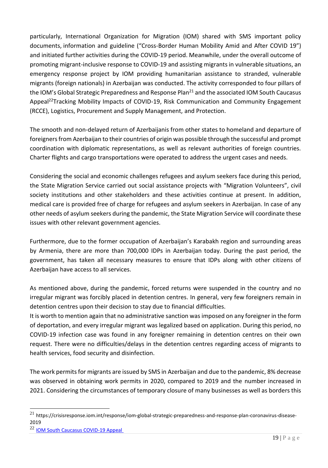particularly, International Organization for Migration (IOM) shared with SMS important policy documents, information and guideline ("Cross-Border Human Mobility Amid and After COVID 19") and initiated further activities during the COVID-19 period. Meanwhile, under the overall outcome of promoting migrant-inclusive response to COVID-19 and assisting migrants in vulnerable situations, an emergency response project by IOM providing humanitarian assistance to stranded, vulnerable migrants (foreign nationals) in Azerbaijan was conducted. The activity corresponded to four pillars of the IOM's Global Strategic Preparedness and Response Plan<sup>21</sup> and the associated IOM South Caucasus Appeal<sup>22</sup>Tracking Mobility Impacts of COVID-19, Risk Communication and Community Engagement (RCCE), Logistics, Procurement and Supply Management, and Protection.

The smooth and non-delayed return of Azerbaijanis from other states to homeland and departure of foreigners from Azerbaijan to their countries of origin was possible through the successful and prompt coordination with diplomatic representations, as well as relevant authorities of foreign countries. Charter flights and cargo transportations were operated to address the urgent cases and needs.

Considering the social and economic challenges refugees and asylum seekers face during this period, the State Migration Service carried out social assistance projects with "Migration Volunteers", civil society institutions and other stakeholders and these activities continue at present. In addition, medical care is provided free of charge for refugees and asylum seekers in Azerbaijan. In case of any other needs of asylum seekers during the pandemic, the State Migration Service will coordinate these issues with other relevant government agencies.

Furthermore, due to the former occupation of Azerbaijan's Karabakh region and surrounding areas by Armenia, there are more than 700,000 IDPs in Azerbaijan today. During the past period, the government, has taken all necessary measures to ensure that IDPs along with other citizens of Azerbaijan have access to all services.

As mentioned above, during the pandemic, forced returns were suspended in the country and no irregular migrant was forcibly placed in detention centres. In general, very few foreigners remain in detention centres upon their decision to stay due to financial difficulties.

It is worth to mention again that no administrative sanction was imposed on any foreigner in the form of deportation, and every irregular migrant was legalized based on application. During this period, no COVID-19 infection case was found in any foreigner remaining in detention centres on their own request. There were no difficulties/delays in the detention centres regarding access of migrants to health services, food security and disinfection.

The work permits for migrants are issued by SMS in Azerbaijan and due to the pandemic, 8% decrease was observed in obtaining work permits in 2020, compared to 2019 and the number increased in 2021. Considering the circumstances of temporary closure of many businesses as well as borders this

 $^{21}$  https://crisisresponse.iom.int/response/iom-global-strategic-preparedness-and-response-plan-coronavirus-disease-2019

<sup>&</sup>lt;sup>22</sup> IOM South Caucasus COVID-19 Appeal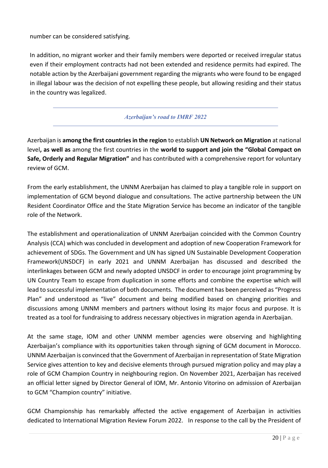number can be considered satisfying.

In addition, no migrant worker and their family members were deported or received irregular status even if their employment contracts had not been extended and residence permits had expired. The notable action by the Azerbaijani government regarding the migrants who were found to be engaged in illegal labour was the decision of not expelling these people, but allowing residing and their status in the country was legalized.

## *Azerbaijan's road to IMRF 2022*

Azerbaijan is **among the first countries in the region** to establish **UN Network on Migration** at national level**, as well as** among the first countries in the **world to support and join the "Global Compact on Safe, Orderly and Regular Migration"** and has contributed with a comprehensive report for voluntary review of GCM.

From the early establishment, the UNNM Azerbaijan has claimed to play a tangible role in support on implementation of GCM beyond dialogue and consultations. The active partnership between the UN Resident Coordinator Office and the State Migration Service has become an indicator of the tangible role of the Network.

The establishment and operationalization of UNNM Azerbaijan coincided with the Common Country Analysis (CCA) which was concluded in development and adoption of new Cooperation Framework for achievement of SDGs. The Government and UN has signed UN Sustainable Development Cooperation Framework(UNSDCF) in early 2021 and UNNM Azerbaijan has discussed and described the interlinkages between GCM and newly adopted UNSDCF in order to encourage joint programming by UN Country Team to escape from duplication in some efforts and combine the expertise which will lead to successful implementation of both documents. The document has been perceived as "Progress Plan" and understood as "live" document and being modified based on changing priorities and discussions among UNNM members and partners without losing its major focus and purpose. It is treated as a tool for fundraising to address necessary objectives in migration agenda in Azerbaijan.

At the same stage, IOM and other UNNM member agencies were observing and highlighting Azerbaijan's compliance with its opportunities taken through signing of GCM document in Morocco. UNNM Azerbaijan is convinced that the Government of Azerbaijan in representation of State Migration Service gives attention to key and decisive elements through pursued migration policy and may play a role of GCM Champion Country in neighbouring region. On November 2021, Azerbaijan has received an official letter signed by Director General of IOM, Mr. Antonio Vitorino on admission of Azerbaijan to GCM "Champion country" initiative.

GCM Championship has remarkably affected the active engagement of Azerbaijan in activities dedicated to International Migration Review Forum 2022. In response to the call by the President of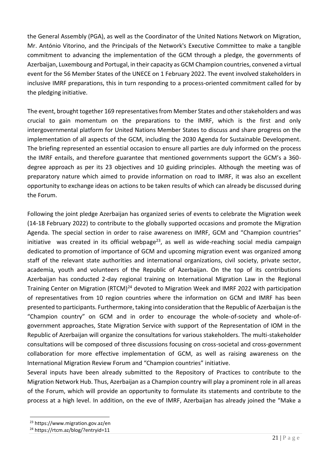the General Assembly (PGA), as well as the Coordinator of the United Nations Network on Migration, Mr. António Vitorino, and the Principals of the Network's Executive Committee to make a tangible commitment to advancing the implementation of the GCM through a pledge, the governments of Azerbaijan, Luxembourg and Portugal, in their capacity as GCM Champion countries, convened a virtual event for the 56 Member States of the UNECE on 1 February 2022. The event involved stakeholders in inclusive IMRF preparations, this in turn responding to a process-oriented commitment called for by the pledging initiative.

The event, brought together 169 representatives from Member States and other stakeholders and was crucial to gain momentum on the preparations to the IMRF, which is the first and only intergovernmental platform for United Nations Member States to discuss and share progress on the implementation of all aspects of the GCM, including the 2030 Agenda for Sustainable Development. The briefing represented an essential occasion to ensure all parties are duly informed on the process the IMRF entails, and therefore guarantee that mentioned governments support the GCM's a 360 degree approach as per its 23 objectives and 10 guiding principles. Although the meeting was of preparatory nature which aimed to provide information on road to IMRF, it was also an excellent opportunity to exchange ideas on actions to be taken results of which can already be discussed during the Forum.

Following the joint pledge Azerbaijan has organized series of events to celebrate the Migration week (14-18 February 2022) to contribute to the globally supported occasions and promote the Migration Agenda. The special section in order to raise awareness on IMRF, GCM and "Champion countries" initiative was created in its official webpage<sup>23</sup>, as well as wide-reaching social media campaign dedicated to promotion of importance of GCM and upcoming migration event was organized among staff of the relevant state authorities and international organizations, civil society, private sector, academia, youth and volunteers of the Republic of Azerbaijan. On the top of its contributions Azerbaijan has conducted 2-day regional training on International Migration Law in the Regional Training Center on Migration (RTCM)<sup>24</sup> devoted to Migration Week and IMRF 2022 with participation of representatives from 10 region countries where the information on GCM and IMRF has been presented to participants. Furthermore, taking into consideration that the Republic of Azerbaijan is the "Champion country" on GCM and in order to encourage the whole-of-society and whole-ofgovernment approaches, State Migration Service with support of the Representation of IOM in the Republic of Azerbaijan will organize the consultations for various stakeholders. The multi-stakeholder consultations will be composed of three discussions focusing on cross-societal and cross-government collaboration for more effective implementation of GCM, as well as raising awareness on the International Migration Review Forum and "Champion countries" initiative.

Several inputs have been already submitted to the Repository of Practices to contribute to the Migration Network Hub. Thus, Azerbaijan as a Champion country will play a prominent role in all areas of the Forum, which will provide an opportunity to formulate its statements and contribute to the process at a high level. In addition, on the eve of IMRF, Azerbaijan has already joined the "Make a

<sup>23</sup> https://www.migration.gov.az/en

<sup>24</sup> https://rtcm.az/blog/?entryid=11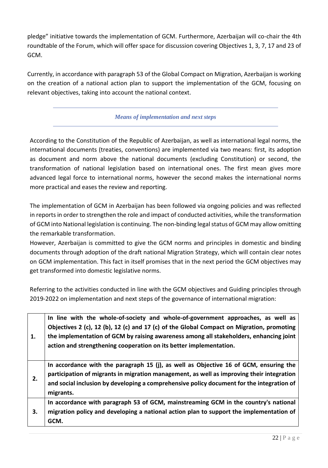pledge" initiative towards the implementation of GCM. Furthermore, Azerbaijan will co-chair the 4th roundtable of the Forum, which will offer space for discussion covering Objectives 1, 3, 7, 17 and 23 of GCM.

Currently, in accordance with paragraph 53 of the Global Compact on Migration, Azerbaijan is working on the creation of a national action plan to support the implementation of the GCM, focusing on relevant objectives, taking into account the national context.

## *Means of implementation and next steps*

According to the Constitution of the Republic of Azerbaijan, as well as international legal norms, the international documents (treaties, conventions) are implemented via two means: first, its adoption as document and norm above the national documents (excluding Constitution) or second, the transformation of national legislation based on international ones. The first mean gives more advanced legal force to international norms, however the second makes the international norms more practical and eases the review and reporting.

The implementation of GCM in Azerbaijan has been followed via ongoing policies and was reflected in reports in order to strengthen the role and impact of conducted activities, while the transformation of GCM into National legislation is continuing. The non-binding legal status of GCM may allow omitting the remarkable transformation.

However, Azerbaijan is committed to give the GCM norms and principles in domestic and binding documents through adoption of the draft national Migration Strategy, which will contain clear notes on GCM implementation. This fact in itself promises that in the next period the GCM objectives may get transformed into domestic legislative norms.

Referring to the activities conducted in line with the GCM objectives and Guiding principles through 2019-2022 on implementation and next steps of the governance of international migration:

| 1. | In line with the whole-of-society and whole-of-government approaches, as well as<br>Objectives 2 (c), 12 (b), 12 (c) and 17 (c) of the Global Compact on Migration, promoting<br>the implementation of GCM by raising awareness among all stakeholders, enhancing joint<br>action and strengthening cooperation on its better implementation. |
|----|-----------------------------------------------------------------------------------------------------------------------------------------------------------------------------------------------------------------------------------------------------------------------------------------------------------------------------------------------|
| 2. | In accordance with the paragraph 15 (j), as well as Objective 16 of GCM, ensuring the<br>participation of migrants in migration management, as well as improving their integration<br>and social inclusion by developing a comprehensive policy document for the integration of<br>migrants.                                                  |
| 3. | In accordance with paragraph 53 of GCM, mainstreaming GCM in the country's national<br>migration policy and developing a national action plan to support the implementation of<br>GCM.                                                                                                                                                        |